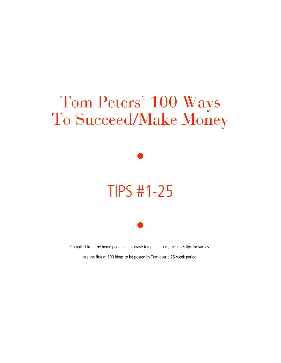# Tom Peters' 100 Ways To Succeed/Make Money

# TIPS #1-25

•

Compiled from the home page blog at www.tompeters.com, these 25 tips for success are the first of 100 ideas to be posted by Tom over a 25-week period.

•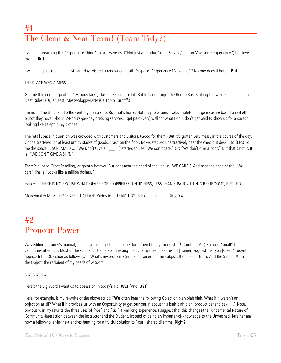### #1 The Clean & Neat Team! (Team Tidy?)

I've been preaching the "Experience Thing" for a few years. ("Not just a 'Product' or a 'Service,' but an 'Awesome Experience.') I believe my act. **But ...**

I was in a giant retail mall last Saturday. Visited a renowned retailer's space. "Experience Marketing"? No one does it better. **But ...**

#### THE PLACE WAS A MESS.

Got me thinking. I "go off on" various tacks, like the Experience bit. But let's not forget the Boring Basics along the way! Such as: Clean-Neat Rules! (Or, at least, Messy-Sloppy-Dirty is a Top 5 Turnoff.)

I'm not a "neat freak." To the contrary, I'm a slob. But that's home. Not my profession. I select hotels in large measure based on whether or not they have 1-hour, 24-hours-per-day pressing services. I get paid (very) well for what I do. I don't get paid to show up for a speech looking like I slept in my clothes!

The retail space in question was crowded with customers and visitors. (Good for them.) But it'd gotten very messy in the course of the day. Goods scattered, or at least untidy stacks of goods. Trash on the floor. Boxes stacked unattractively near the checkout desk. Etc. (Etc.) To me the space ... SCREAMED ... "We Don't Give a S\_\_\_" (I started to use "We don't care." Or: "We don't give a hoot." But that's not it. It is: "WE DON'T GIVE A SHIT.")

There's a lot to Great Retailing, or great whatever. But right near the head of the line is: "WE CARE!" And near the head of the "We care" line is "Looks like a million dollars."

Hence ... THERE IS NO EXCUSE WHATSOEVER FOR SLOPPINESS, UNTIDINESS, LESS THAN S-PA-R-K-L-I-N-G RESTROOMS, ETC., ETC.

Moneymaker Message #1: KEEP IT CLEAN! Kudos to ... TEAM TIDY. Brickbats to ... the Dirty Dozen.

### #2 Pronoun Power

Was editing a trainer's manual, replete with suggested dialogue, for a friend today. Good stuff! (Content: A+) But one "small" thing caught my attention. Most of the scripts for trainers addressing their charges read like this: "I [Trainer] suggest that you [Client/Student] approach the Objection as follows ..." What's my problem? Simple. I/trainer am the Subject, the teller of truth. And the Student/Client is the Object, the recipient of my pearls of wisdom.

NO! NO! NO!

Here's the Big Word I want us to obsess on in today's Tip: **WE!** (And: **US!**)

Here, for example, is my re-write of the above script: "**We** often hear the following Objection blah blah blah. What if it weren't an objection at all? What if it provides **us** with an Opportunity to get **our** oar in about this blah blah blah [product benefit, say]. ..." Note, obviously, in my rewrite the three uses of "we" and "us." From long experience, I suggest that this changes the Fundamental Nature of Community-Interaction between the Instructor and the Student. Instead of being an imparter-of-knowledge to the Unwashed, I/trainer am now a fellow-toiler-in-the-trenches hunting for a fruitful solution to "our" shared dilemma. Right?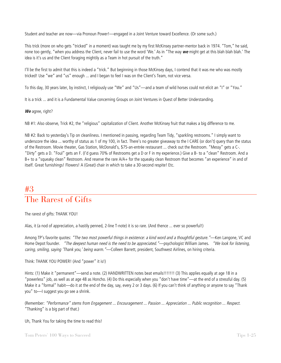Student and teacher are now—via Pronoun Power!—engaged in a Joint Venture toward Excellence. (Or some such.)

This trick (more on who gets "tricked" in a moment) was taught me by my first McKinsey partner-mentor back in 1974. "Tom," he said, none too gently, "when you address the Client, never fail to use the word 'We.' As in "The way **we** might get at this blah blah blah.' The idea is it's us and the Client foraging mightily as a Team in hot pursuit of the truth."

I'll be the first to admit that this is indeed a "trick." But beginning in those McKinsey days, I contend that it was me who was mostly tricked! Use "we" and "us" enough ... and I began to feel I was on the Client's Team, not vice versa.

To this day, 30 years later, by instinct, I religiously use "We" and "Us"—and a team of wild horses could not elicit an "I" or "You."

It is a trick ... and it is a Fundamental Value concerning Groups on Joint Ventures in Quest of Better Understanding.

**We** agree, right?

NB #1: Also observe, Trick #2, the "religious" capitalization of Client. Another McKinsey fruit that makes a big difference to me.

NB #2: Back to yesterday's Tip on cleanliness. I mentioned in passing, regarding Team Tidy, "sparkling restrooms." I simply want to underscore the idea ... worthy of status as 1 of my 100, in fact. There's no greater giveaway to the I CARE (or don't) query than the status of the Restroom. Movie theater, Gas Station, McDonald's, \$75-an-entrée restaurant ... check out the Restroom. "Messy" gets a C-. "Dirty" gets a D. "Foul" gets an F. (I'd guess 70% of Restrooms get a D or F in my experience.) Give a B- to a "clean" Restroom. And a B+ to a "squeaky clean" Restroom. And reserve the rare A/A+ for the squeaky clean Restroom that becomes "an experience" in and of itself. Great furnishings! Flowers! A (Great) chair in which to take a 30-second respite! Etc.

### #3 The Rarest of Gifts

The rarest of gifts: THANK YOU!

Alas, it (a nod of appreciation, a hastily penned, 2-line T-note) it is so rare. (And thence ... ever so powerful!)

Among TP's favorite quotes: "The two most powerful things in existence: a kind word and a thoughtful gesture."—Ken Langone, VC and Home Depot founder. "The deepest human need is the need to be appreciated."—psychologist William James. "We look for listening, caring, smiling, saying 'Thank you,' being warm."-Colleen Barrett, president, Southwest Airlines, on hiring criteria.

Think: THANK YOU POWER! (And "power" it is!)

Hints: (1) Make it "permanent"—send a note. (2) HANDWRITTEN notes beat emails!!!!!!! (3) This applies equally at age 18 in a "powerless" job, as well as at age 48 as Honcho. (4) Do this especially when you "don't have time"—at the end of a stressful day. (5) Make it a "formal" habit—do it at the end of the day, say, every 2 or 3 days. (6) If you can't think of anything or anyone to say "Thank you" to—I suggest you go see a shrink.

(Remember: "Performance" stems from Engagement ... Encouragement ... Passion ... Appreciation ... Public recognition ... Respect. "Thanking" is a big part of that.)

Uh, Thank You for taking the time to read this!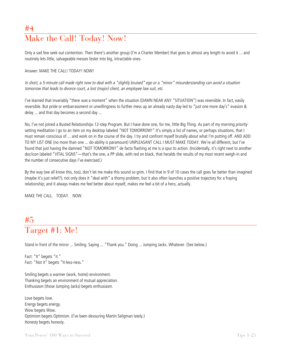### #4 Make the Call! Today! Now!

Only a sad few seek out contention. Then there's another group (I'm a Charter Member) that goes to almost any length to avoid it ... and routinely lets little, salvageable messes fester into big, intractable ones.

#### Answer: MAKE THE CALL! TODAY! NOW!

In short, a 5-minute call made right now to deal with a "slightly bruised" ego or a "minor" misunderstanding can avoid a situation tomorrow that leads to divorce court, a lost (major) client, an employee law suit, etc.

I've learned that invariably "there was a moment" when the situation (DAMN NEAR ANY "SITUATION") was reversible. In fact, easily reversible. But pride or embarrassment or unwillingness to further mess up an already nasty day led to "just one more day's" evasion & delay ... and that day becomes a second day ...

No, I've not joined a Busted Relationships 12-step Program. But I have done one, for me, little Big Thing. As part of my morning prioritysetting meditation I go to an item on my desktop labeled "NOT TOMORROW!" It's simply a list of names, or perhaps situations, that I must remain conscious of ... and work on in the course of the day. I try and confront myself brutally about what I'm putting off. AND ADD TO MY LIST ONE (no more than one ... do-ability is paramount) UNPLEASANT CALL I MUST MAKE TODAY. We're all different, but I've found that just having the damned "NOT TOMORROW!" de facto flashing at me is a spur to action. (Incidentally, it's right next to another doc/icon labeled "VITAL SIGNS"—that's the one, a PP slide, with red on black, that heralds the results of my most recent weigh-in and the number of consecutive days I've exercised.)

By the way (we all know this, too), don't let me make this sound so grim. I find that in 9 of 10 cases the call goes far better than imagined (maybe it's just relief?); not only does it "deal with" a thorny problem, but it also often launches a positive trajectory for a fraying relationship; and it always makes me feel better about myself, makes me feel a bit of a hero, actually.

MAKE THE CALL. TODAY. NOW.

### #5 Target #1: Me!

Stand in front of the mirror ... Smiling. Saying ... "Thank you." Doing ... Jumping Jacks. Whatever. (See below.)

Fact: "It" begets "it." Fact: "Not it" begets "It-less-ness."

Smiling begets a warmer (work, home) environment. Thanking begets an environment of mutual appreciation. Enthusiasm (those Jumping Jacks) begets enthusiasm.

Love begets love. Energy begets energy. Wow begets Wow. Optimism begets Optimism. (I've been devouring Martin Seligman lately.) Honesty begets honesty.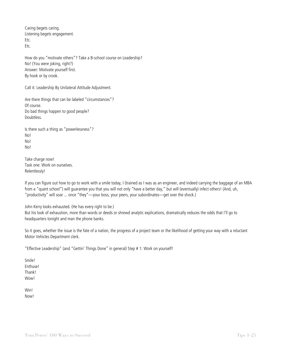Caring begets caring. Listening begets engagement. Etc. Etc.

How do you "motivate others"? Take a B-school course on Leadership? No! (You were joking, right?) Answer: Motivate yourself first. By hook or by crook.

Call it: Leadership By Unilateral Attitude Adjustment.

Are there things that can be labeled "circumstances"? Of course. Do bad things happen to good people? Doubtless.

Is there such a thing as "powerlessness"? No! No! No!

Take charge now! Task one: Work on ourselves. Relentlessly!

If you can figure out how to go to work with a smile today, I (trained as I was as an engineer, and indeed carrying the baggage of an MBA from a "quant school") will guarantee you that you will not only "have a better day," but will (eventually) infect others! (And, uh, "productivity" will soar ... once "they"—your boss, your peers, your subordinates—get over the shock.)

John Kerry looks exhausted. (He has every right to be.) But his look of exhaustion, more than words or deeds or shrewd analytic explications, dramatically reduces the odds that I'll go to headquarters tonight and man the phone banks.

So it goes, whether the issue is the fate of a nation, the progress of a project team or the likelihood of getting your way with a reluctant Motor Vehicles Department clerk.

"Effective Leadership" (and "Gettin' Things Done" in general) Step # 1: Work on yourself!

Smile! Enthuse! Thank! Wow!

Win! Now!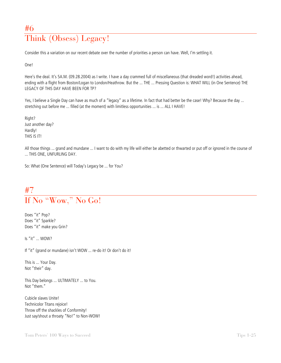# #6 Think (Obsess) Legacy!

Consider this a variation on our recent debate over the number of priorities a person can have. Well, I'm settling it.

One!

Here's the deal. It's 5A.M. (09.28.2004) as I write. I have a day crammed full of miscellaneous (that dreaded word!) activities ahead, ending with a flight from Boston/Logan to London/Heathrow. But the ... THE ... Pressing Question is: WHAT WILL (in One Sentence) THE LEGACY OF THIS DAY HAVE BEEN FOR TP?

Yes, I believe a Single Day can have as much of a "legacy" as a lifetime. In fact that had better be the case! Why? Because the day ... stretching out before me ... filled (at the moment) with limitless opportunities ... is ... ALL I HAVE!

Right? Just another day? Hardly! THIS IS IT!

All those things ... grand and mundane ... I want to do with my life will either be abetted or thwarted or put off or ignored in the course of ... THIS ONE, UNFURLING DAY.

So: What (One Sentence) will Today's Legacy be ... for You?

# #7 If No "Wow," No Go!

Does "it" Pop? Does "it" Sparkle? Does "it" make you Grin?

Is "it" ... WOW?

If "it" (grand or mundane) isn't WOW ... re-do it! Or don't do it!

This is ... Your Day. Not "their" day.

This Day belongs ... ULTIMATELY ... to You. Not "them."

Cubicle slaves Unite! Technicolor Titans rejoice! Throw off the shackles of Conformity! Just say/shout a throaty "No!" to Non-WOW!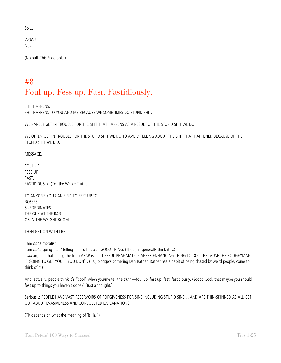So ...

WOW! Now!

(No bull. This is do-able.)

### #8 Foul up. Fess up. Fast. Fastidiously.

SHIT HAPPENS.

SHIT HAPPENS TO YOU AND ME BECAUSE WE SOMETIMES DO STUPID SHIT.

WE RARELY GET IN TROUBLE FOR THE SHIT THAT HAPPENS AS A RESULT OF THE STUPID SHIT WE DO.

WE OFTEN GET IN TROUBLE FOR THE STUPID SHIT WE DO TO AVOID TELLING ABOUT THE SHIT THAT HAPPENED BECAUSE OF THE STUPID SHIT WE DID.

MESSAGE.

FOUL UP. FESS UP. FAST. FASTIDIOUSLY. (Tell the Whole Truth.)

TO ANYONE YOU CAN FIND TO FESS UP TO. BOSSES. SUBORDINATES. THE GUY AT THE BAR. OR IN THE WEIGHT ROOM.

THEN GET ON WITH LIFE.

I am not a moralist.

I am not arguing that "telling the truth is a ... GOOD THING. (Though I generally think it is.) I am arguing that telling the truth ASAP is a ... USEFUL-PRAGMATIC-CAREER ENHANCING THING TO DO ... BECAUSE THE BOOGEYMAN IS GOING TO GET YOU IF YOU DON'T. (I.e., bloggers cornering Dan Rather. Rather has a habit of being chased by weird people, come to think of it.)

And, actually, people think it's "cool" when you/me tell the truth—foul up, fess up, fast, fastidiously. (Soooo Cool, that maybe you should fess up to things you haven't done?) (Just a thought.)

Seriously: PEOPLE HAVE VAST RESERVOIRS OF FORGIVENESS FOR SINS INCLUDING STUPID SINS ... AND ARE THIN-SKINNED AS ALL GET OUT ABOUT EVASIVENESS AND CONVOLUTED EXPLANATIONS.

("It depends on what the meaning of 'is' is.")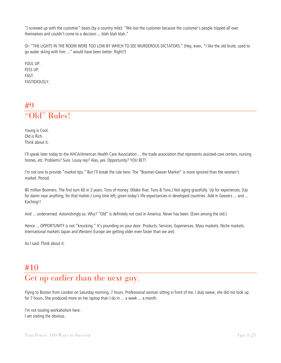"I screwed up with the customer" beats (by a country mile): "We lost the customer because the customer's people tripped all over themselves and couldn't come to a decision ... blah blah blah."

Or: "THE LIGHTS IN THE ROOM WERE TOO LOW BY WHICH TO SEE MURDEROUS DICTATORS." (Hey, even, "I like the old brute, used to go water skiing with him ..." would have been better. Right?)

FOUL UP. FESS UP. FAST. FASTIDIOUSLY.

### #9 "Old" Rules!

Young is Cool. Old is Rich. Think about it.

I'll speak later today to the AHCA/American Health Care Association ... the trade association that represents assisted-care centers, nursing homes, etc. Problems? Sure. Lousy rep? Alas, yes. Opportunity? YOU BET!

I'm not one to provide "market tips." But I'll break the rule here. The "Boomer-Geezer Market" is more ignored than the women's market. Period.

80 million Boomers. The first turn 60 in 2 years. Tons of money. (Make that: Tons & Tons.) Not aging gracefully. Up for experiences. (Up for damn near anything, for that matter.) Long time left, given today's life expectancies in developed countries. Add in Geezers ... and ... Kaching!!

And ... underserved. Astonishingly so. Why? "Old" is definitely not cool in America. Never has been. (Even among the old.)

Hence ... OPPORTUNITY is not "knocking." It's pounding on your door. Products. Services. Experiences. Mass markets. Niche markets. International markets Japan and Western Europe are getting older even faster than we are).

As I said: Think about it.

### #10 Get up earlier than the next guy.

Flying to Boston from London on Saturday morning. 7 hours. Professional woman sitting in front of me. I duly swear, she did not look up for 7 hours. She produced more on her laptop than I do in ... a week ... a month.

I'm not touting workaholism here. I am stating the obvious.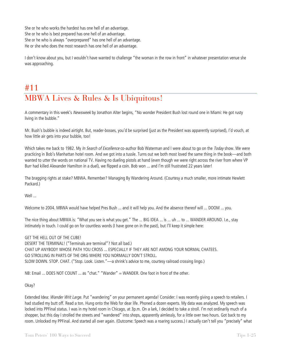She or he who works the hardest has one hell of an advantage. She or he who is best prepared has one hell of an advantage. She or he who is always "overprepared" has one hell of an advantage. He or she who does the most research has one hell of an advantage.

I don't know about you, but I wouldn't have wanted to challenge "the woman in the row in front" in whatever presentation venue she was approaching.

# #11 MBWA Lives & Rules & Is Ubiquitous!

A commentary in this week's Newsweek by Jonathon Alter begins, "No wonder President Bush lost round one in Miami: He got rusty living in the bubble."

Mr. Bush's bubble is indeed airtight. But, reader-bosses, you'd be surprised (just as the President was apparently surprised), I'd vouch, at how little air gets into your bubble, too!

Which takes me back to 1982. My In Search of Excellence co-author Bob Waterman and I were about to go on the Today show. We were practicing in Bob's Manhattan hotel room. And we got into a tussle. Turns out we both most loved the same thing in the book—and both wanted to utter the words on national TV. Having no dueling pistols at hand (even though we were right across the river from where VP Burr had killed Alexander Hamilton in a duel), we flipped a coin. Bob won ... and I'm still frustrated 22 years later!

The bragging rights at stake? MBWA. Remember? Managing By Wandering Around. (Courtesy a much smaller, more intimate Hewlett Packard.)

 $We$ ll

Welcome to 2004. MBWA would have helped Pres Bush ... and it will help you. And the absence thereof will ... DOOM ... you.

The nice thing about MBWA is: "What you see is what you get." The ... BIG IDEA ... is ... uh ... to ... WANDER AROUND. I.e., stay intimately in touch. I could go on for countless words (I have gone on in the past), but I'll keep it simple here:

GET THE HELL OUT OF THE CUBE! DESERT THE TERMINAL! ("Terminals are terminal"? Not all bad.) CHAT UP ANYBODY WHOSE PATH YOU CROSS ... ESPECIALLY IF THEY ARE NOT AMONG YOUR NORMAL CHATEES. GO STROLLING IN PARTS OF THE ORG WHERE YOU NORMALLY DON'T STROLL. SLOW DOWN. STOP. CHAT. ("Stop. Look. Listen."—a shrink's advice to me, courtesy railroad crossing lingo.)

NB: Email ... DOES NOT COUNT ... as "chat." "Wander" = WANDER. One foot in front of the other.

Okay?

Extended Idea: Wander Writ Large. Put "wandering" on your permanent agenda! Consider: I was recently giving a speech to retailers. I had studied my butt off. Read a ton. Hung onto the Web for dear life. Phoned a dozen experts. My data was analyzed. My speech was locked into PPFinal status. I was in my hotel room in Chicago, at 3p.m. On a lark, I decided to take a stroll. I'm not ordinarily much of a shopper, but this day I strolled the streets and "wandered" into shops, apparently aimlessly, for a little over two hours. Got back to my room. Unlocked my PPFinal. And started all over again. (Outcome: Speech was a roaring success.) I actually can't tell you "precisely" what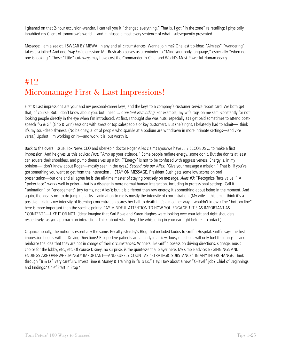I gleaned on that 2-hour excursion-wander. I can tell you it "changed everything." That is, I got "in the zone" re retailing; I physically inhabited my Client-of-tomorrow's world ... and it infused almost every sentence of what I subsequently presented.

Message: I am a zealot. I SWEAR BY MBWA. In any and all circumstances. Wanna join me? One last tip-idea: "Aimless" "wandering" takes discipline! And one truly last digression: Mr. Bush also serves us a reminder to "Mind your body language," especially "when no one is looking." Those "little" cutaways may have cost the Commander-in-Chief and World's-Most-Powerful-Human dearly.

# #12 Micromanage First & Last Impressions!

First & Last impressions are your and my personal-career keys, and the keys to a company's customer service report card. We both get that, of course. But: I don't know about you, but I need ... Constant Reminding. For example, my wife rags on me semi-constantly for not looking people directly in the eye when I'm introduced. At first, I thought she was nuts, especially as I get paid sometimes to attend postspeech "G & G" (Grip & Grin) sessions with execs or top salespeople or key customers. But she's right, I belatedly had to admit—I think it's my soul-deep shyness. (No baloney; a lot of people who sparkle at a podium are withdrawn in more intimate settings—and vice versa.) Upshot: I'm working on it—and work it is; but worth it.

Back to the overall issue. Fox News CEO and uber-spin doctor Roger Ailes claims I/you/we have ... 7 SECONDS ... to make a first impression. And he gives us this advice: First: "Amp up your attitude." Some people radiate energy, some don't. But the don'ts at least can square their shoulders, and pump themselves up a bit. ("Energy" is not to be confused with aggressiveness. Energy is, in my opinion—I don't know about Roger—mostly seen in the eyes.) Second rule per Ailes: "Give your message a mission." That is, if you've got something you want to get from the interaction ... STAY ON MESSAGE. President Bush gets some low scores on oral presentation—but one and all agree he is the all-time master of staying precisely on message. Ailes #3: "Recognize 'face value.'" A "poker face" works well in poker—but is a disaster in more normal human interaction, including in professional settings. Call it "animation" or "engagement" (my terms, not Ailes'); but it is different than raw energy; it's something about being in the moment. And again, the idea is not to do jumping jacks—animation to me is mostly the intensity of concentration. (My wife—this time I think it's a positive—claims my intensity of listening-concentration scares her half to death if it's aimed her way. I wouldn't know.) The "bottom line" here is more important than the specific points: PAY MINDFUL ATTENTION TO HOW YOU ENGAGE!! IT'S AS IMPORTANT AS "CONTENT"—LIKE IT OR NOT. (Idea: Imagine that Karl Rove and Karen Hughes were looking over your left and right shoulders respectively, as you approach an interaction. Think about what they'd be whispering in your ear right before ... contact.)

Organizationally, the notion is essentially the same. Recall yesterday's Blog that included kudos to Griffin Hospital. Griffin says the first impression begins with ... Driving Directions! Prospective patients are already in a tizzy; lousy directions will only fuel their angst—and reinforce the idea that they are not in charge of their circumstances. Winners like Griffin obsess on driving directions, signage, music choice for the lobby, etc., etc. Of course Disney, no surprise, is the quintessential player here. My simple advice: BEGINNINGS AND ENDINGS ARE OVERWHELMINGLY IMPORTANT—AND SURELY COUNT AS "STRATEGIC SUBSTANCE" IN ANY INTERCHANGE. Think through "B & Es" very carefully. Invest Time & Money & Training in "B & Es." Hey: How about a new "C-level" job? Chief of Beginnings and Endings? Chief Start 'n Stop?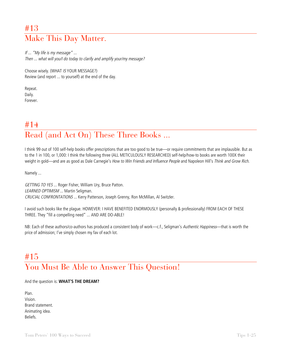### #13 Make This Day Matter.

If ... "My life is my message" ... Then ... what will you/I do today to clarify and amplify your/my message?

Choose wisely. (WHAT IS YOUR MESSAGE?) Review (and report ... to yourself) at the end of the day.

Repeat. Daily. Forever.

# #14 Read (and Act On) These Three Books ...

I think 99 out of 100 self-help books offer prescriptions that are too good to be true—or require commitments that are implausible. But as to the 1 in 100, or 1,000: I think the following three (ALL METICULOUSLY RESEARCHED) self-help/how-to books are worth 100X their weight in gold—and are as good as Dale Carnegie's How to Win Friends and Influence People and Napoleon Hill's Think and Grow Rich.

Namely ...

GETTING TO YES ... Roger Fisher, William Ury, Bruce Patton. LEARNED OPTIMISM ... Martin Seligman. CRUCIAL CONFRONTATIONS ... Kerry Patterson, Joseph Grenny, Ron McMillan, Al Switzler.

I avoid such books like the plague. HOWEVER: I HAVE BENEFITED ENORMOUSLY (personally & professionally) FROM EACH OF THESE THREE. They "fill a compelling need" ... AND ARE DO-ABLE!

NB: Each of these authors/co-authors has produced a consistent body of work—c.f., Seligman's Authentic Happiness—that is worth the price of admission; I've simply chosen my fav of each lot.

# #15 You Must Be Able to Answer This Question!

#### And the question is: **WHAT'S THE DREAM?**

Plan. Vision. Brand statement. Animating idea. Beliefs.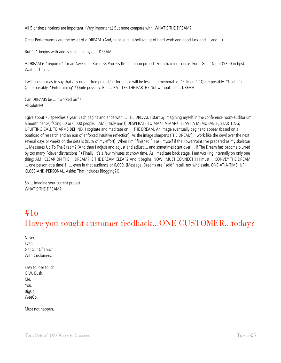All 5 of these notions are important. (Very important.) But none compare with: WHAT'S THE DREAM?

Great Performances are the result of a DREAM. (And, to be sure, a helluva lot of hard work and good luck and ... and ...)

But "it" begins with and is sustained by a ... DREAM.

A DREAM is "required" for an Awesome Business Process Re-definition project. For a training course. For a Great Night (\$300 in tips) ... Waiting Tables.

I will go so far as to say that any dream-free project/performance will be less than memorable. "Efficient"? Quite possibly. "Useful"? Quite possibly. "Entertaining"? Quite possibly. But ... RATTLES THE EARTH? Not without the ... DREAM.

Can DREAMS be ... "worked on"? Absolutely!

I give about 75 speeches a year. Each begins and ends with ... THE DREAM. I start by imagining myself in the conference room-auditorium a month hence, facing 60 or 6,000 people. I AM (I truly am!!) DESPERATE TO MAKE A MARK, LEAVE A MEMORABLE, STARTLING, UPLIFTING CALL TO ARMS BEHIND. I cogitate and meditate on ... THE DREAM. An image eventually begins to appear (based on a boatload of research and an eon of enforced intuitive reflection). As the image sharpens (THE DREAM), I work like the devil over the next several days or weeks on the details (95% of my effort). When I'm "finished," I ask myself if the PowerPoint I've prepared as my skeleton ... Measures Up To The Dream? (And then I adjust and adjust and adjust ... and sometimes start over ... if The Dream has become blurred by too many "clever distractions.") Finally, it's a few minutes to show time. As I meditate back stage, I am working internally on only one thing: AM I CLEAR ON THE ... DREAM? IS THE DREAM CLEAR? And it begins. NOW I MUST CONNECT!!! I must ... CONVEY THE DREAM ... one person at a time!!! ... even in that audience of 6,000. (Message: Dreams are "sold" retail, not wholesale. ONE-AT-A-TIME. UP-CLOSE-AND-PERSONAL. Aside: That includes Blogging?!)

So ... imagine your current project. WHAT'S THE DREAM?

# #16 Have you sought customer feedback...ONE CUSTOMER...today?

| Never.            |
|-------------------|
| Ever.             |
| Get Out Of Touch. |
| With Customers.   |

| Easy to lose touch. |
|---------------------|
| G.W. Bush.          |
| Me.                 |
| You.                |
| BigCo.              |
| WeeCo.              |

Must not happen.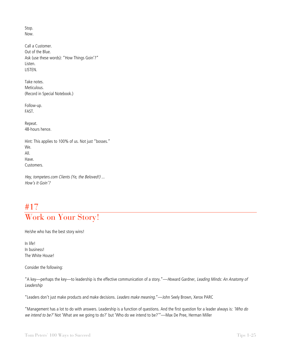Stop. Now.

Call a Customer. Out of the Blue. Ask (use these words): "How Things Goin'?" Listen. LISTEN.

Take notes. Meticulous. (Record in Special Notebook.)

Follow-up. FAST.

Repeat. 48-hours hence.

Hint: This applies to 100% of us. Not just "bosses." We. All. Have. Customers.

Hey, tompeters.com Clients (Ye, the Beloved!) ... How's It Goin'?

# #17 Work on Your Story!

He/she who has the best story wins!

In life! In business! The White House!

Consider the following:

"A key—perhaps the key—to leadership is the effective communication of a story."—Howard Gardner, Leading Minds: An Anatomy of Leadership

"Leaders don't just make products and make decisions. Leaders make meaning."—John Seely Brown, Xerox PARC

"Management has a lot to do with answers. Leadership is a function of questions. And the first question for a leader always is: 'Who do we intend to be?' Not 'What are we going to do?' but 'Who do we intend to be?'"---Max De Pree, Herman Miller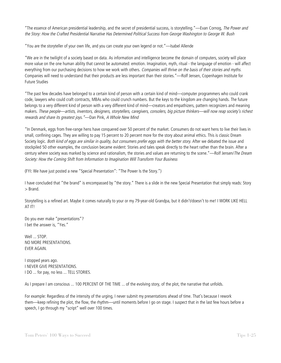"The essence of American presidential leadership, and the secret of presidential success, is storytelling."—Evan Cornog, The Power and the Story: How the Crafted Presidential Narrative Has Determined Political Success from George Washington to George W. Bush

"You are the storyteller of your own life, and you can create your own legend or not."—Isabel Allende

"We are in the twilight of a society based on data. As information and intelligence become the domain of computers, society will place more value on the one human ability that cannot be automated: emotion. Imagination, myth, ritual - the language of emotion - will affect everything from our purchasing decisions to how we work with others. Companies will thrive on the basis of their stories and myths. Companies will need to understand that their products are less important than their stories."—Rolf Jensen, Copenhagen Institute for Future Studies

"The past few decades have belonged to a certain kind of person with a certain kind of mind—computer programmers who could crank code, lawyers who could craft contracts, MBAs who could crunch numbers. But the keys to the kingdom are changing hands. The future belongs to a very different kind of person with a very different kind of mind—creators and empathizers, pattern recognizers and meaning makers. These people—artists, inventors, designers, storytellers, caregivers, consolers, big picture thinkers—will now reap society's richest rewards and share its greatest joys."—Dan Pink, A Whole New Mind

"In Denmark, eggs from free-range hens have conquered over 50 percent of the market. Consumers do not want hens to live their lives in small, confining cages. They are willing to pay 15 percent to 20 percent more for the story about animal ethics. This is classic Dream Society logic. Both kind of eggs are similar in quality, but consumers prefer eggs with the better story. After we debated the issue and stockpiled 50 other examples, the conclusion became evident: Stories and tales speak directly to the heart rather than the brain. After a century where society was marked by science and rationalism, the stories and values are returning to the scene."—Rolf Jensen/The Dream Society: How the Coming Shift from Information to Imagination Will Transform Your Business

(FYI: We have just posted a new "Special Presentation": "The Power Is the Story.")

I have concluded that "the brand" is encompassed by "the story." There is a slide in the new Special Presentation that simply reads: Story > Brand.

Storytelling is a refined art. Maybe it comes naturally to your or my 79-year-old Grandpa, but it didn't/doesn't to me! I WORK LIKE HELL AT IT!

Do you ever make "presentations"? I bet the answer is, "Yes."

Well ... STOP. NO MORE PRESENTATIONS. EVER AGAIN.

I stopped years ago. I NEVER GIVE PRESENTATIONS. I DO ... for pay, no less ... TELL STORIES.

As I prepare I am conscious ... 100 PERCENT OF THE TIME ... of the evolving story, of the plot, the narrative that unfolds.

For example: Regardless of the intensity of the urging, I never submit my presentations ahead of time. That's because I rework them—keep refining the plot, the flow, the rhythm—until moments before I go on stage. I suspect that in the last few hours before a speech, I go through my "script" well over 100 times.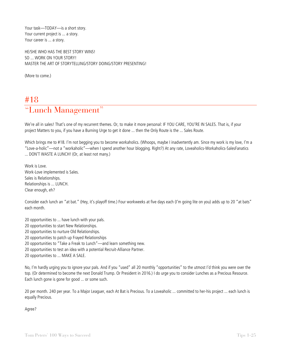Your task—TODAY—is a short story. Your current project is ... a story. Your career is ... a story.

HE/SHE WHO HAS THE BEST STORY WINS! SO ... WORK ON YOUR STORY! MASTER THE ART OF STORYTELLING/STORY DOING/STORY PRESENTING!

(More to come.)

# #18 "Lunch Management"

We're all in sales! That's one of my recurrent themes. Or, to make it more personal: IF YOU CARE, YOU'RE IN SALES. That is, if your project Matters to you, if you have a Burning Urge to get it done ... then the Only Route is the ... Sales Route.

Which brings me to #18. I'm not begging you to become workaholics. (Whoops, maybe I inadvertently am. Since my work is my love, I'm a "Love-a-holic"—not a "workaholic"—when I spend another hour blogging. Right?) At any rate, Loveaholics-Workaholics-SalesFanatics ... DON'T WASTE A LUNCH! (Or, at least not many.)

Work is Love. Work-Love implemented is Sales. Sales is Relationships. Relationships is ... LUNCH. Clear enough, eh?

Consider each lunch an "at bat." (Hey, it's playoff time.) Four workweeks at five days each (I'm going lite on you) adds up to 20 "at bats" each month.

20 opportunities to ... have lunch with your pals. 20 opportunities to start New Relationships. 20 opportunities to nurture Old Relationships. 20 opportunities to patch up Frayed Relationships 20 opportunities to "Take a Freak to Lunch"—and learn something new. 20 opportunities to test an idea with a potential Recruit-Alliance Partner. 20 opportunities to ... MAKE A SALE.

No, I'm hardly urging you to ignore your pals. And if you "used" all 20 monthly "opportunities" to the utmost I'd think you were over the top. (Or determined to become the next Donald Trump. Or President in 2016.) I do urge you to consider Lunches as a Precious Resource. Each lunch gone is gone for good ... or some such.

20 per month. 240 per year. To a Major Leaguer, each At Bat is Precious. To a Loveaholic ... committed to her-his project ... each lunch is equally Precious.

Agree?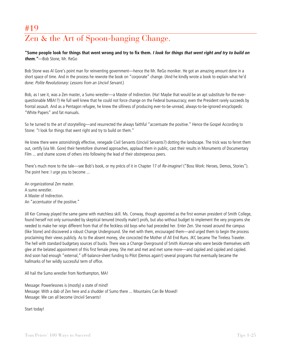## #19 Zen & the Art of Spoon-banging Change.

#### **"Some people look for things that went wrong and try to fix them. I look for things that went right and try to build on them."**—Bob Stone, Mr. ReGo

Bob Stone was Al Gore's point man for reinventing government—hence the Mr. ReGo moniker. He got an amazing amount done in a short space of time. And in the process he rewrote the book on "corporate" change. (And he kindly wrote a book to explain what he'd done: Polite Revolutionary: Lessons from an Uncivil Servant.)

Bob, as I see it, was a Zen master, a Sumo wrestler—a Master of Indirection. (Ha! Maybe that would be an apt substitute for the everquestionable MBA!?) He full well knew that he could not force change on the Federal bureaucracy; even the President rarely succeeds by frontal assault. And as a Pentagon refugee, he knew the silliness of producing ever-to-be-unread, always-to-be-ignored encyclopedic "White Papers" and fat manuals.

So he turned to the art of storytelling—and resurrected the always faithful "accentuate the positive." Hence the Gospel According to Stone: "I look for things that went right and try to build on them."

He knew there were astonishingly effective, renegade Civil Servants (Uncivil Servants?) dotting the landscape. The trick was to ferret them out, certify (via Mr. Gore) their heretofore shunned approaches, applaud them in public, cast their results in Monuments of Documentary Film ... and shame scores of others into following the lead of their obstreperous peers.

There's much more to the tale—see Bob's book, or my précis of it in Chapter 17 of Re-imagine! ("Boss Work: Heroes, Demos, Stories"). The point here: I urge you to become ...

An organizational Zen master. A sumo wrestler. A Master of Indirection. An "accentuator of the positive."

Jill Ker Conway played the same game with matchless skill. Ms. Conway, though appointed as the first woman president of Smith College, found herself not only surrounded by skeptical tenured (mostly male!) profs, but also without budget to implement the very programs she needed to make her reign different from that of the feckless old boys who had preceded her. Enter Zen. She nosed around the campus (like Stone) and discovered a robust Change Underground. She met with them, encouraged them—and urged them to begin the process proclaiming their views publicly. As to the absent money, she concocted the Mother of All End Runs. JKC became The Tireless Traveler. The hell with standard budgetary sources of bucks. There was a Change Overground of Smith Alumnae who were beside themselves with glee at the belated appointment of this first female prexy. She met and met and met some more—and cajoled and cajoled and cajoled. And soon had enough "external," off-balance-sheet funding to Pilot (Demos again!) several programs that eventually became the hallmarks of her wildly successful term of office.

All hail the Sumo wrestler from Northampton, MA!

Message: Powerlessnes is (mostly) a state of mind! Message: With a dab of Zen here and a shudder of Sumo there ... Mountains Can Be Moved! Message: We can all become Uncivil Servants!

Start today!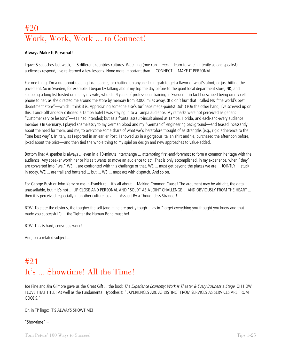# #20 Work, Work, Work ... to Connect!

#### **Always Make It Personal!**

I gave 5 speeches last week, in 5 different countries-cultures. Watching (one can—must—learn to watch intently as one speaks!) audiences respond, I've re-learned a few lessons. None more important than ... CONNECT ... MAKE IT PERSONAL.

For one thing, I'm a nut about reading local papers, or chatting up anyone I can grab to get a flavor of what's afoot, or just hitting the pavement. So in Sweden, for example, I began by talking about my trip the day before to the giant local department store, NK, and shopping a long list foisted on me by my wife, who did 4 years of professional training in Sweden—in fact I described being on my cell phone to her, as she directed me around the store by memory from 3,000 miles away. (It didn't hurt that I called NK "the world's best department store"—which I think it is. Appreciating someone else's turf nabs mega-points! Duh!) (On the other hand, I've screwed up on this. I once offhandedly criticized a Tampa hotel I was staying in to a Tampa audience. My remarks were not perceived as generic "customer service lessons"—as I had intended; but as a frontal assault-insult aimed at Tampa, Florida, and each-and-every audience member!) In Germany, I played shamelessly to my German blood and my "Germanic" engineering background—and teased incessantly about the need for them, and me, to overcome some share of what we'd heretofore thought of as strengths (e.g., rigid adherence to the "one best way"). In Italy, as I reported in an earlier Post, I showed up in a gorgeous Italian shirt and tie, purchased the afternoon before, joked about the price—and then tied the whole thing to my spiel on design and new approaches to value-added.

Bottom line: A speaker is always ... even in a 10-minute interchange ... attempting first-and-foremost to form a common heritage with the audience. Any speaker worth her or his salt wants to move an audience to act. That is only accomplished, in my experience, when "they" are converted into "we." WE ... are confronted with this challenge or that. WE ... must get beyond the places we are ... JOINTLY ... stuck in today. WE ... are frail and battered ... but ... WE ... must act with dispatch. And so on.

For George Bush or John Kerry or me-in-Frankfurt ... it's all about ... Making Common Cause! The argument may be airtight, the data unassailable, but if it's not ... UP CLOSE AND PERSONAL AND "SOLD" AS A JOINT CHALLENGE ... AND OBVIOUSLY FROM THE HEART ... then it is perceived, especially in another culture, as an ... Assault By a Thoughtless Stranger!

BTW: To state the obvious, the tougher the sell (and mine are pretty tough ... as in "forget everything you thought you knew and that made you successful") ... the Tighter the Human Bond must be!

BTW: This is hard, conscious work!

And, on a related subject ...

### #21 It's ... Showtime! All the Time!

Joe Pine and Jim Gilmore gave us the Great Gift ... the book The Experience Economy: Work Is Theater & Every Business a Stage. OH HOW I LOVE THAT TITLE! As well as the Fundamental Hypothesis: "EXPERIENCES ARE AS DISTINCT FROM SERVICES AS SERVICES ARE FROM GOODS."

#### Or, in TP lingo: IT'S ALWAYS SHOWTIME!

#### "Showtime"  $=$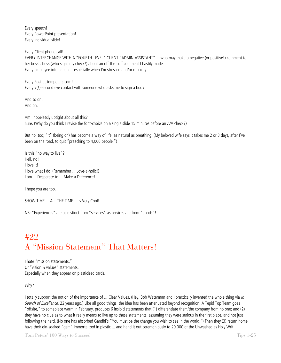Every speech! Every PowerPoint presentation! Every individual slide!

Every Client phone call! EVERY INTERCHANGE WITH A "FOURTH-LEVEL" CLIENT "ADMIN ASSISTANT" ... who may make a negative (or positive!) comment to her boss's boss (who signs my check!) about an off-the-cuff comment I hastily made. Every employee interaction ... especially when I'm stressed and/or grouchy.

Every Post at tompeters.com! Every 7(!)-second eye contact with someone who asks me to sign a book!

And so on. And on.

Am I hopelessly uptight about all this? Sure. (Why do you think I revise the font-choice on a single slide 15 minutes before an A/V check?)

But no, too; "it" (being on) has become a way of life, as natural as breathing. (My beloved wife says it takes me 2 or 3 days, after I've been on the road, to quit "preaching to 4,000 people.")

Is this "no way to live"? Hell, no! I love it! I love what I do. (Remember ... Love-a-holic!) I am ... Desperate to ... Make a Difference!

I hope you are too.

SHOW TIME ... ALL THE TIME ... is Very Cool!

NB: "Experiences" are as distinct from "services" as services are from "goods"!

# #22 A "Mission Statement" That Matters!

I hate "mission statements." Or "vision & values" statements. Especially when they appear on plasticized cards.

Why?

I totally support the notion of the importance of ... Clear Values. (Hey, Bob Waterman and I practically invented the whole thing via In Search of Excellence, 22 years ago.) Like all good things, the idea has been attenuated beyond recognition. A Tepid Top Team goes "offsite," to someplace warm in February, produces 6 insipid statements that (1) differentiate them/the company from no one; and (2) they have no clue as to what it really means to live up to these statements, assuming they were serious in the first place, and not just following the herd. (No one has absorbed Gandhi's "You must be the change you wish to see in the world.") Then they (3) return home, have their gin-soaked "gem" immortalized in plastic ... and hand it out ceremoniously to 20,000 of the Unwashed as Holy Writ.

Tom Peters' 100 Ways to Succeed Tips 1-25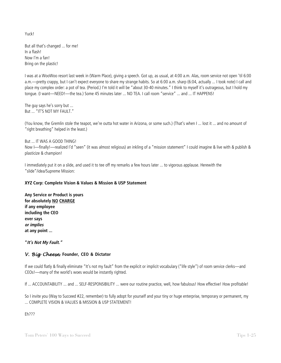Yuck!

But all that's changed ... for me! In a flash! Now I'm a fan! Bring on the plastic!

I was at a WooWoo resort last week in (Warm Place), giving a speech. Got up, as usual, at 4:00 a.m. Alas, room service not open 'til 6:00 a.m.—pretty crappy, but I can't expect everyone to share my strange habits. So at 6:00 a.m. sharp (6:04, actually ... I took note) I call and place my complex order: a pot of tea. (Period.) I'm told it will be "about 30-40 minutes." I think to myself it's outrageous, but I hold my tongue. (I want—NEED!—the tea.) Some 45 minutes later ... NO TEA. I call room "service" ... and ... IT HAPPENS!

The guy says he's sorry but ... But ... "IT'S NOT MY FAULT."

(You know, the Gremlin stole the teapot, we're outta hot water in Arizona, or some such.) (That's when I ... lost it ... and no amount of "right breathing" helped in the least.)

But ... IT WAS A GOOD THING! Now I—finally!—realized I'd "seen" (it was almost religious) an inkling of a "mission statement" I could imagine & live with & publish & plasticize & champion!

I immediately put it on a slide, and used it to tee off my remarks a few hours later ... to vigorous applause. Herewith the "slide"/idea/Supreme Mission:

#### **XYZ Corp: Complete Vision & Values & Mission & USP Statement**

**Any Service or Product is yours for absolutely NO CHARGE if any employee including the CEO ever says or implies at any point ...**

**"It's Not My Fault."**

#### *V. Big Cheese***, Founder, CEO & Dictator**

If we could flatly & finally eliminate "It's not my fault" from the explicit or implicit vocabulary ("life style") of room service clerks—and CEOs!—many of the world's woes would be instantly righted.

If ... ACCOUNTABILITY ... and ... SELF-RESPONSIBILITY ... were our routine practice, well, how fabulous! How effective! How profitable!

So I invite you (Way to Succeed #22, remember) to fully adopt for yourself and your tiny or huge enterprise, temporary or permanent, my ... COMPLETE VISION & VALUES & MISSION & USP STATEMENT!

Eh???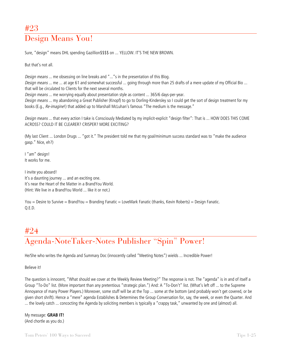### #23 Design Means You!

Sure, "design" means DHL spending Gazillion\$\$\$\$ on ... YELLOW. IT'S THE NEW BROWN.

But that's not all.

Design means ... me obsessing on line breaks and "..."s in the presentation of this Blog.

Design means ... me ... at age 61 and somewhat successful ... going through more than 25 drafts of a mere update of my Official Bio ... that will be circulated to Clients for the next several months.

Design means ... me worrying equally about presentation style as content ... 365/6 days-per-year.

Design means ... my abandoning a Great Publisher (Knopf) to go to Dorling-Kindersley so I could get the sort of design treatment for my books (E.g., Re-imagine!) that added up to Marshall McLuhan's famous "The medium is the message."

Design means ... that every action I take is Consciously Mediated by my implicit-explicit "design filter": That is ... HOW DOES THIS COME ACROSS? COULD IT BE CLEARER? CRISPER? MORE EXCITING?

(My last Client ... London Drugs ... "got it." The president told me that my goal/minimum success standard was to "make the audience gasp." Nice, eh?)

I "am" design! It works for me.

I invite you aboard! It's a daunting journey ... and an exciting one. It's near the Heart of the Matter in a BrandYou World. (Hint: We live in a BrandYou World ... like it or not.)

You = Desire to Survive = BrandYou = Branding Fanatic = LoveMark Fanatic (thanks, Kevin Roberts) = Design Fanatic. Q.E.D.

# #24 Agenda-NoteTaker-Notes Publisher "Spin" Power!

He/She who writes the Agenda and Summary Doc (innocently called "Meeting Notes") wields ... Incredible Power!

Believe it!

The question is innocent, "What should we cover at the Weekly Review Meeting?" The response is not. The "agenda" is in and of itself a Group "To-Do" list. (More important than any pretentious "strategic plan.") And: A "To-Don't" list. (What's left off ... to the Supreme Annoyance of many Power Players.) Moreover, some stuff will be at the Top ... some at the bottom (and probably won't get covered, or be given short shrift). Hence a "mere" agenda Establishes & Determines the Group Conversation for, say, the week, or even the Quarter. And ... the lovely catch ... concocting the Agenda by soliciting members is typically a "crappy task," unwanted by one and (almost) all.

My message: **GRAB IT!** (And chortle as you do.)